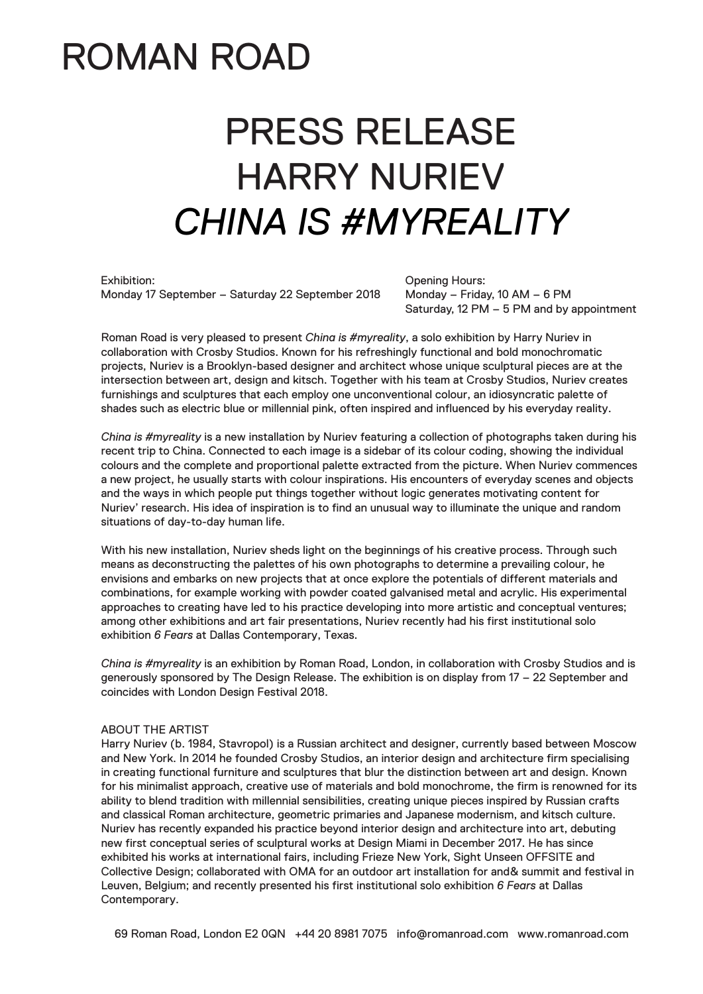## ROMAN ROAD

# PRESS RELEASE HARRY NURIEV *CHINA IS #MYREALITY*

Exhibition: Monday 17 September – Saturday 22 September 2018 Opening Hours: Monday – Friday, 10 AM – 6 PM Saturday, 12 PM – 5 PM and by appointment

Roman Road is very pleased to present *China is #myreality*, a solo exhibition by Harry Nuriev in collaboration with Crosby Studios. Known for his refreshingly functional and bold monochromatic projects, Nuriev is a Brooklyn-based designer and architect whose unique sculptural pieces are at the intersection between art, design and kitsch. Together with his team at Crosby Studios, Nuriev creates furnishings and sculptures that each employ one unconventional colour, an idiosyncratic palette of shades such as electric blue or millennial pink, often inspired and influenced by his everyday reality.

*China is #myreality* is a new installation by Nuriev featuring a collection of photographs taken during his recent trip to China. Connected to each image is a sidebar of its colour coding, showing the individual colours and the complete and proportional palette extracted from the picture. When Nuriev commences a new project, he usually starts with colour inspirations. His encounters of everyday scenes and objects and the ways in which people put things together without logic generates motivating content for Nuriev' research. His idea of inspiration is to find an unusual way to illuminate the unique and random situations of day-to-day human life.

With his new installation, Nuriev sheds light on the beginnings of his creative process. Through such means as deconstructing the palettes of his own photographs to determine a prevailing colour, he envisions and embarks on new projects that at once explore the potentials of different materials and combinations, for example working with powder coated galvanised metal and acrylic. His experimental approaches to creating have led to his practice developing into more artistic and conceptual ventures; among other exhibitions and art fair presentations, Nuriev recently had his first institutional solo exhibition *6 Fears* at Dallas Contemporary, Texas.

*China is #myreality* is an exhibition by Roman Road, London, in collaboration with Crosby Studios and is generously sponsored by The Design Release. The exhibition is on display from 17 – 22 September and coincides with London Design Festival 2018.

### ABOUT THE ARTIST

Harry Nuriev (b. 1984, Stavropol) is a Russian architect and designer, currently based between Moscow and New York. In 2014 he founded Crosby Studios, an interior design and architecture firm specialising in creating functional furniture and sculptures that blur the distinction between art and design. Known for his minimalist approach, creative use of materials and bold monochrome, the firm is renowned for its ability to blend tradition with millennial sensibilities, creating unique pieces inspired by Russian crafts and classical Roman architecture, geometric primaries and Japanese modernism, and kitsch culture. Nuriev has recently expanded his practice beyond interior design and architecture into art, debuting new first conceptual series of sculptural works at Design Miami in December 2017. He has since exhibited his works at international fairs, including Frieze New York, Sight Unseen OFFSITE and Collective Design; collaborated with OMA for an outdoor art installation for and& summit and festival in Leuven, Belgium; and recently presented his first institutional solo exhibition *6 Fears* at Dallas Contemporary.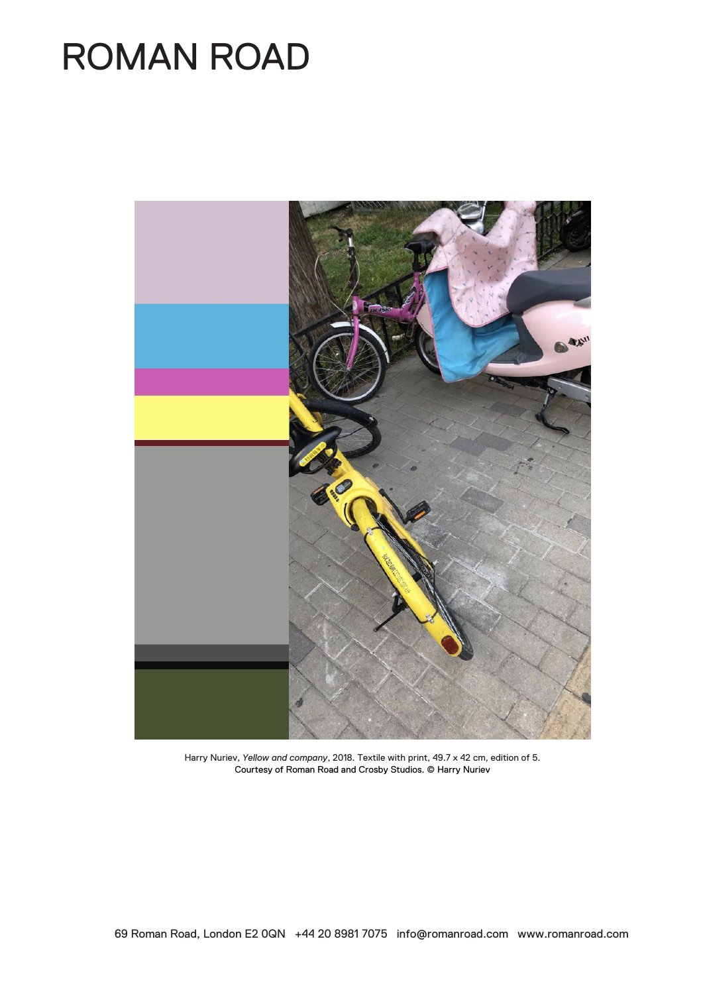## ROMAN ROAD



Harry Nuriev, *Yellow and company*, 2018. Textile with print, 49.7 x 42 cm, edition of 5. Courtesy of Roman Road and Crosby Studios. © Harry Nuriev